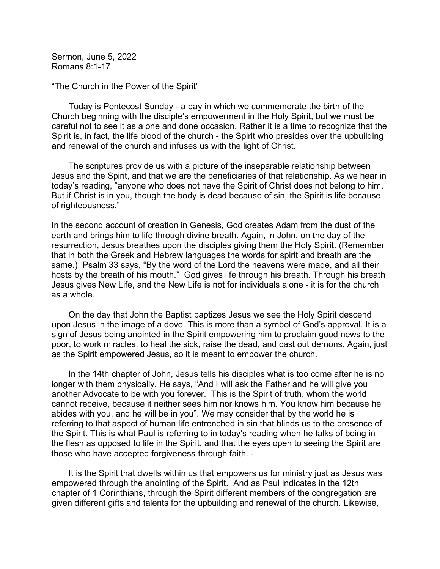Sermon, June 5, 2022 Romans 8:1-17

"The Church in the Power of the Spirit"

 Today is Pentecost Sunday - a day in which we commemorate the birth of the Church beginning with the disciple's empowerment in the Holy Spirit, but we must be careful not to see it as a one and done occasion. Rather it is a time to recognize that the Spirit is, in fact, the life blood of the church - the Spirit who presides over the upbuilding and renewal of the church and infuses us with the light of Christ.

 The scriptures provide us with a picture of the inseparable relationship between Jesus and the Spirit, and that we are the beneficiaries of that relationship. As we hear in today's reading, "anyone who does not have the Spirit of Christ does not belong to him. But if Christ is in you, though the body is dead because of sin, the Spirit is life because of righteousness."

In the second account of creation in Genesis, God creates Adam from the dust of the earth and brings him to life through divine breath. Again, in John, on the day of the resurrection, Jesus breathes upon the disciples giving them the Holy Spirit. (Remember that in both the Greek and Hebrew languages the words for spirit and breath are the same.) Psalm 33 says, "By the word of the Lord the heavens were made, and all their hosts by the breath of his mouth." God gives life through his breath. Through his breath Jesus gives New Life, and the New Life is not for individuals alone - it is for the church as a whole.

 On the day that John the Baptist baptizes Jesus we see the Holy Spirit descend upon Jesus in the image of a dove. This is more than a symbol of God's approval. It is a sign of Jesus being anointed in the Spirit empowering him to proclaim good news to the poor, to work miracles, to heal the sick, raise the dead, and cast out demons. Again, just as the Spirit empowered Jesus, so it is meant to empower the church.

 In the 14th chapter of John, Jesus tells his disciples what is too come after he is no longer with them physically. He says, "And I will ask the Father and he will give you another Advocate to be with you forever. This is the Spirit of truth, whom the world cannot receive, because it neither sees him nor knows him. You know him because he abides with you, and he will be in you". We may consider that by the world he is referring to that aspect of human life entrenched in sin that blinds us to the presence of the Spirit. This is what Paul is referring to in today's reading when he talks of being in the flesh as opposed to life in the Spirit. and that the eyes open to seeing the Spirit are those who have accepted forgiveness through faith. -

 It is the Spirit that dwells within us that empowers us for ministry just as Jesus was empowered through the anointing of the Spirit. And as Paul indicates in the 12th chapter of 1 Corinthians, through the Spirit different members of the congregation are given different gifts and talents for the upbuilding and renewal of the church. Likewise,